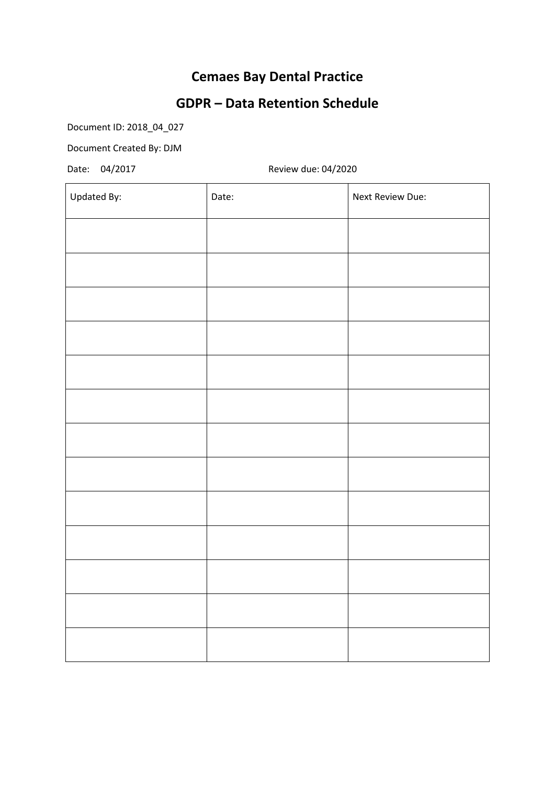# **Cemaes Bay Dental Practice**

# **GDPR – Data Retention Schedule**

Document ID: 2018\_04\_027

Document Created By: DJM

Date: 04/2017 Review due: 04/2020

| Updated By: | Date: | Next Review Due: |
|-------------|-------|------------------|
|             |       |                  |
|             |       |                  |
|             |       |                  |
|             |       |                  |
|             |       |                  |
|             |       |                  |
|             |       |                  |
|             |       |                  |
|             |       |                  |
|             |       |                  |
|             |       |                  |
|             |       |                  |
|             |       |                  |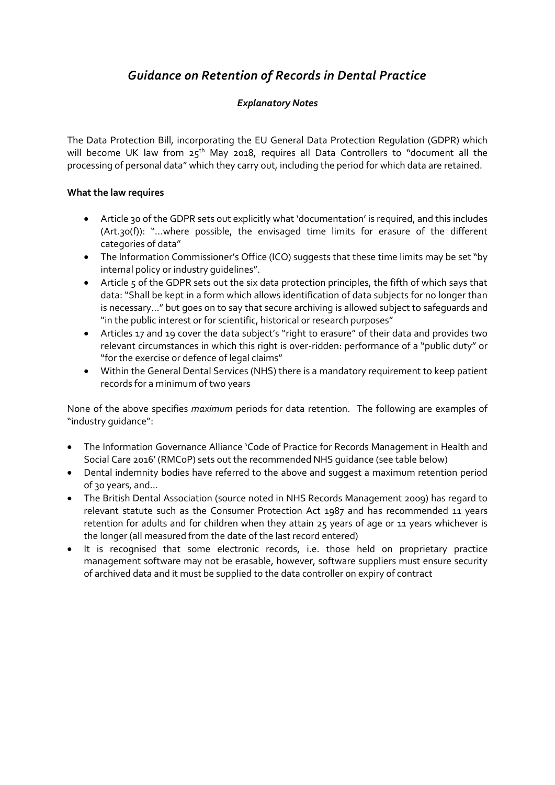## *Guidance on Retention of Records in Dental Practice*

### *Explanatory Notes*

The Data Protection Bill, incorporating the EU General Data Protection Regulation (GDPR) which will become UK law from 25<sup>th</sup> May 2018, requires all Data Controllers to "document all the processing of personal data" which they carry out, including the period for which data are retained.

### **What the law requires**

- Article 30 of the GDPR sets out explicitly what 'documentation' is required, and this includes (Art.30(f)): "…where possible, the envisaged time limits for erasure of the different categories of data"
- The Information Commissioner's Office (ICO) suggests that these time limits may be set "by internal policy or industry guidelines".
- Article 5 of the GDPR sets out the six data protection principles, the fifth of which says that data: "Shall be kept in a form which allows identification of data subjects for no longer than is necessary…" but goes on to say that secure archiving is allowed subject to safeguards and "in the public interest or for scientific, historical or research purposes"
- Articles 17 and 19 cover the data subject's "right to erasure" of their data and provides two relevant circumstances in which this right is over-ridden: performance of a "public duty" or "for the exercise or defence of legal claims"
- Within the General Dental Services (NHS) there is a mandatory requirement to keep patient records for a minimum of two years

None of the above specifies *maximum* periods for data retention. The following are examples of "industry guidance":

- The Information Governance Alliance 'Code of Practice for Records Management in Health and Social Care 2016' (RMCoP) sets out the recommended NHS guidance (see table below)
- Dental indemnity bodies have referred to the above and suggest a maximum retention period of 30 years, and…
- The British Dental Association (source noted in NHS Records Management 2009) has regard to relevant statute such as the Consumer Protection Act 1987 and has recommended 11 years retention for adults and for children when they attain 25 years of age or 11 years whichever is the longer (all measured from the date of the last record entered)
- It is recognised that some electronic records, i.e. those held on proprietary practice management software may not be erasable, however, software suppliers must ensure security of archived data and it must be supplied to the data controller on expiry of contract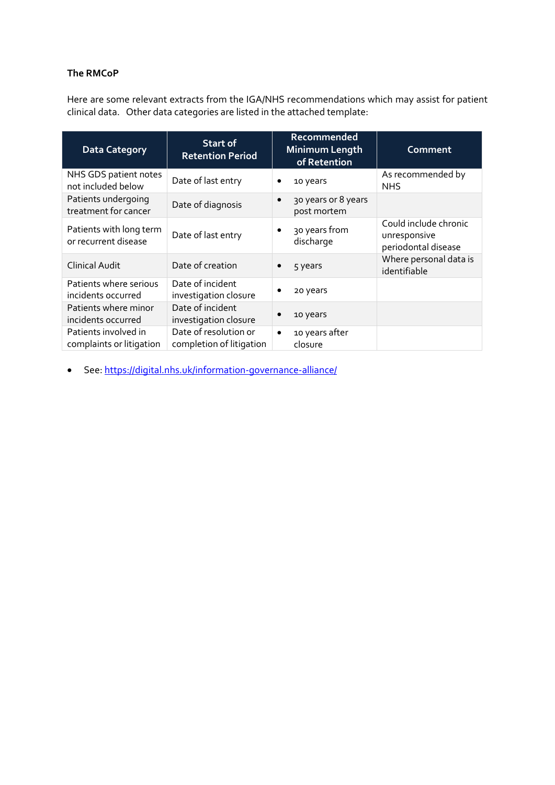### **The RMCoP**

Here are some relevant extracts from the IGA/NHS recommendations which may assist for patient clinical data. Other data categories are listed in the attached template:

| <b>Data Category</b>                             | <b>Start of</b><br><b>Retention Period</b>        | Recommended<br>Minimum Length<br>of Retention   | Comment                                                      |
|--------------------------------------------------|---------------------------------------------------|-------------------------------------------------|--------------------------------------------------------------|
| NHS GDS patient notes<br>not included below      | Date of last entry                                | 10 years<br>$\bullet$                           | As recommended by<br><b>NHS</b>                              |
| Patients undergoing<br>treatment for cancer      | Date of diagnosis                                 | 30 years or 8 years<br>$\bullet$<br>post mortem |                                                              |
| Patients with long term<br>or recurrent disease  | Date of last entry                                | 30 years from<br>$\bullet$<br>discharge         | Could include chronic<br>unresponsive<br>periodontal disease |
| <b>Clinical Audit</b>                            | Date of creation                                  | 5 years                                         | Where personal data is<br>identifiable                       |
| Patients where serious<br>incidents occurred     | Date of incident<br>investigation closure         | 20 years                                        |                                                              |
| Patients where minor<br>incidents occurred       | Date of incident<br>investigation closure         | 10 years                                        |                                                              |
| Patients involved in<br>complaints or litigation | Date of resolution or<br>completion of litigation | 10 years after<br>$\bullet$<br>closure          |                                                              |

See[: https://digital.nhs.uk/information-governance-alliance/](https://digital.nhs.uk/information-governance-alliance/)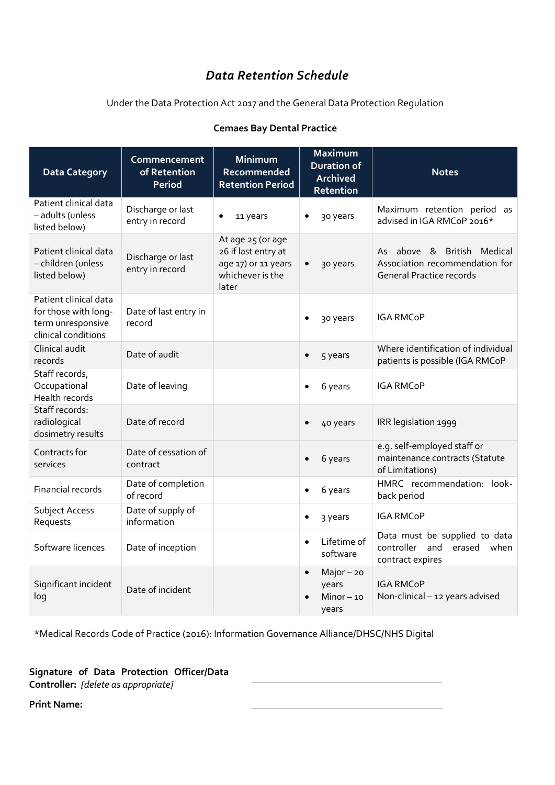## *Data Retention Schedule*

Under the Data Protection Act 2017 and the General Data Protection Regulation

| <b>Cemaes Bay Dental Practice</b> |  |
|-----------------------------------|--|
|-----------------------------------|--|

| <b>Data Category</b>                                                                      | Commencement<br>of Retention<br><b>Period</b> | Minimum<br>Recommended<br><b>Retention Period</b>                                            | <b>Maximum</b><br><b>Duration of</b><br><b>Archived</b><br>Retention | <b>Notes</b>                                                                                    |
|-------------------------------------------------------------------------------------------|-----------------------------------------------|----------------------------------------------------------------------------------------------|----------------------------------------------------------------------|-------------------------------------------------------------------------------------------------|
| Patient clinical data<br>- adults (unless<br>listed below)                                | Discharge or last<br>entry in record          | 11 years                                                                                     | 30 years<br>٠                                                        | Maximum retention period as<br>advised in IGA RMCoP 2016*                                       |
| Patient clinical data<br>- children (unless<br>listed below)                              | Discharge or last<br>entry in record          | At age 25 (or age<br>26 if last entry at<br>age 17) or 11 years<br>whichever is the<br>later | 30 years<br>$\bullet$                                                | As above & British Medical<br>Association recommendation for<br><b>General Practice records</b> |
| Patient clinical data<br>for those with long-<br>term unresponsive<br>clinical conditions | Date of last entry in<br>record               |                                                                                              | 30 years                                                             | <b>IGA RMCoP</b>                                                                                |
| Clinical audit<br>records                                                                 | Date of audit                                 |                                                                                              | 5 years                                                              | Where identification of individual<br>patients is possible (IGA RMCoP                           |
| Staff records,<br>Occupational<br>Health records                                          | Date of leaving                               |                                                                                              | 6 years                                                              | <b>IGA RMCoP</b>                                                                                |
| Staff records:<br>radiological<br>dosimetry results                                       | Date of record                                |                                                                                              | 40 years                                                             | IRR legislation 1999                                                                            |
| Contracts for<br>services                                                                 | Date of cessation of<br>contract              |                                                                                              | 6 years                                                              | e.g. self-employed staff or<br>maintenance contracts (Statute<br>of Limitations)                |
| Financial records                                                                         | Date of completion<br>of record               |                                                                                              | 6 years<br>$\bullet$                                                 | HMRC recommendation: look-<br>back period                                                       |
| Subject Access<br>Requests                                                                | Date of supply of<br>information              |                                                                                              | 3 years<br>$\bullet$                                                 | <b>IGA RMCoP</b>                                                                                |
| Software licences                                                                         | Date of inception                             |                                                                                              | Lifetime of<br>$\bullet$<br>software                                 | Data must be supplied to data<br>controller and<br>erased<br>when<br>contract expires           |
| Significant incident<br>log                                                               | Date of incident                              |                                                                                              | $Major - 20$<br>$\bullet$<br>years<br>$Minor - 10$<br>years          | <b>IGA RMCoP</b><br>Non-clinical - 12 years advised                                             |

\*Medical Records Code of Practice (2016): Information Governance Alliance/DHSC/NHS Digital

**Signature of Data Protection Officer/Data Controller:** *[delete as appropriate]* \_\_\_\_\_\_\_\_\_\_\_\_\_\_\_\_\_\_\_\_\_\_\_\_\_\_\_\_\_\_\_\_\_\_\_\_\_\_

**Print Name:**